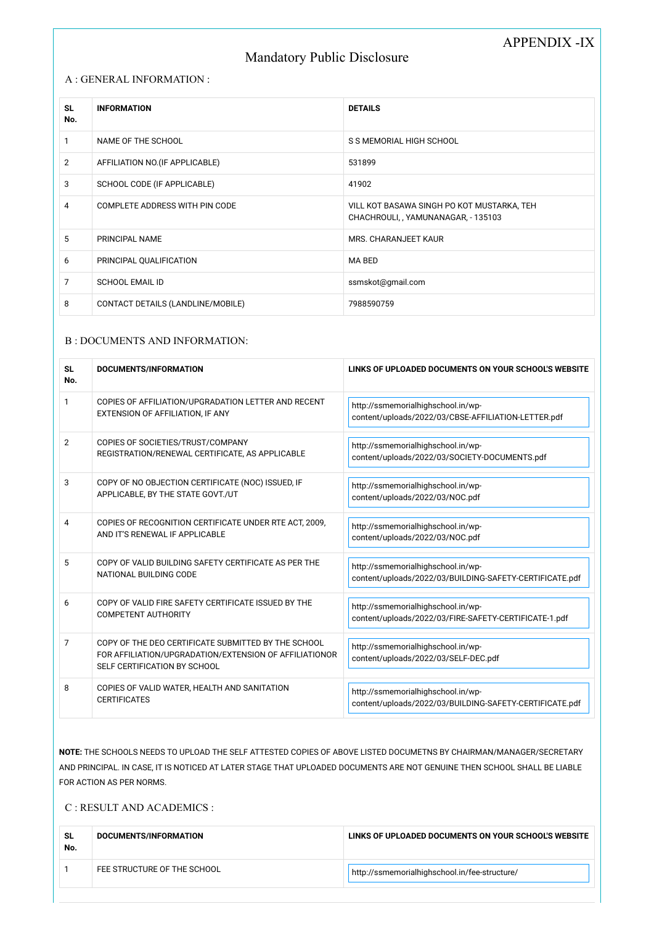# APPENDIX -IX

# Mandatory Public Disclosure

#### A : GENERAL INFORMATION :

| <b>SL</b><br>No. | <b>INFORMATION</b>                | <b>DETAILS</b>                                                                  |
|------------------|-----------------------------------|---------------------------------------------------------------------------------|
|                  | NAME OF THE SCHOOL                | S S MEMORIAL HIGH SCHOOL                                                        |
| $\overline{2}$   | AFFILIATION NO. (IF APPLICABLE)   | 531899                                                                          |
| 3                | SCHOOL CODE (IF APPLICABLE)       | 41902                                                                           |
| 4                | COMPLETE ADDRESS WITH PIN CODE    | VILL KOT BASAWA SINGH PO KOT MUSTARKA, TEH<br>CHACHROULI, YAMUNANAGAR, - 135103 |
| 5                | PRINCIPAL NAME                    | <b>MRS. CHARANJEET KAUR</b>                                                     |
| 6                | PRINCIPAL QUALIFICATION           | MA BED                                                                          |
| 7                | <b>SCHOOL EMAIL ID</b>            | ssmskot@gmail.com                                                               |
| 8                | CONTACT DETAILS (LANDLINE/MOBILE) | 7988590759                                                                      |

### B : DOCUMENTS AND INFORMATION:

| <b>SL</b><br>No. | DOCUMENTS/INFORMATION                                                                                                                         | LINKS OF UPLOADED DOCUMENTS ON YOUR SCHOOL'S WEBSITE                                          |
|------------------|-----------------------------------------------------------------------------------------------------------------------------------------------|-----------------------------------------------------------------------------------------------|
| 1                | COPIES OF AFFILIATION/UPGRADATION LETTER AND RECENT<br>EXTENSION OF AFFILIATION, IF ANY                                                       | http://ssmemorialhighschool.in/wp-<br>content/uploads/2022/03/CBSE-AFFILIATION-LETTER.pdf     |
| $\overline{2}$   | COPIES OF SOCIETIES/TRUST/COMPANY<br>REGISTRATION/RENEWAL CERTIFICATE, AS APPLICABLE                                                          | http://ssmemorialhighschool.in/wp-<br>content/uploads/2022/03/SOCIETY-DOCUMENTS.pdf           |
| 3                | COPY OF NO OBJECTION CERTIFICATE (NOC) ISSUED, IF<br>APPLICABLE, BY THE STATE GOVT./UT                                                        | http://ssmemorialhighschool.in/wp-<br>content/uploads/2022/03/NOC.pdf                         |
| 4                | COPIES OF RECOGNITION CERTIFICATE UNDER RTE ACT, 2009,<br>AND IT'S RENEWAL IF APPLICABLE                                                      | http://ssmemorialhighschool.in/wp-<br>content/uploads/2022/03/NOC.pdf                         |
| 5                | COPY OF VALID BUILDING SAFETY CERTIFICATE AS PER THE<br>NATIONAL BUILDING CODE                                                                | http://ssmemorialhighschool.in/wp-<br>content/uploads/2022/03/BUILDING-SAFETY-CERTIFICATE.pdf |
| 6                | COPY OF VALID FIRE SAFETY CERTIFICATE ISSUED BY THE<br><b>COMPETENT AUTHORITY</b>                                                             | http://ssmemorialhighschool.in/wp-<br>content/uploads/2022/03/FIRE-SAFETY-CERTIFICATE-1.pdf   |
| $\overline{7}$   | COPY OF THE DEO CERTIFICATE SUBMITTED BY THE SCHOOL<br>FOR AFFILIATION/UPGRADATION/EXTENSION OF AFFILIATIONOR<br>SELF CERTIFICATION BY SCHOOL | http://ssmemorialhighschool.in/wp-<br>content/uploads/2022/03/SELF-DEC.pdf                    |
| 8                | COPIES OF VALID WATER, HEALTH AND SANITATION<br><b>CERTIFICATES</b>                                                                           | http://ssmemorialhighschool.in/wp-                                                            |

content/uploads/2022/03/BUILDING-SAFETY-CERTIFICATE.pdf

NOTE: THE SCHOOLS NEEDS TO UPLOAD THE SELF ATTESTED COPIES OF ABOVE LISTED DOCUMETNS BY CHAIRMAN/MANAGER/SECRETARY AND PRINCIPAL. IN CASE, IT IS NOTICED AT LATER STAGE THAT UPLOADED DOCUMENTS ARE NOT GENUINE THEN SCHOOL SHALL BE LIABLE FOR ACTION AS PER NORMS.

C : RESULT AND ACADEMICS :

| <b>SL</b><br>No. | DOCUMENTS/INFORMATION       | LINKS OF UPLOADED DOCUMENTS ON YOUR SCHOOL'S WEBSITE |
|------------------|-----------------------------|------------------------------------------------------|
|                  | FEE STRUCTURE OF THE SCHOOL | http://ssmemorialhighschool.in/fee-structure/        |
|                  |                             |                                                      |